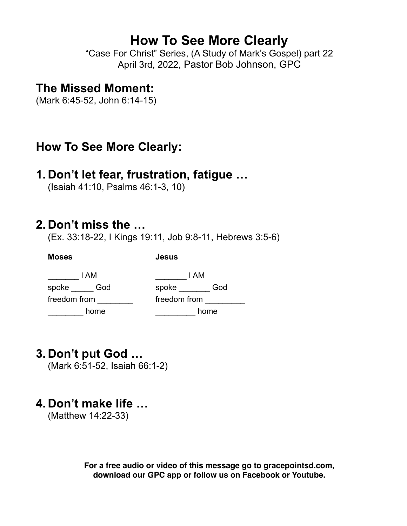# **How To See More Clearly**

"Case For Christ" Series, (A Study of Mark's Gospel) part 22 April 3rd, 2022, Pastor Bob Johnson, GPC

### **The Missed Moment:**

(Mark 6:45-52, John 6:14-15)

# **How To See More Clearly:**

## **1. Don't let fear, frustration, fatigue …**

(Isaiah 41:10, Psalms 46:1-3, 10)

**Moses Jesus**

## **2. Don't miss the …**

(Ex. 33:18-22, I Kings 19:11, Job 9:8-11, Hebrews 3:5-6)

| I AM         |     | I AM  |              |  |
|--------------|-----|-------|--------------|--|
| spoke        | God | spoke | God          |  |
| freedom from |     |       | freedom from |  |
| home         |     |       | home         |  |

# **3. Don't put God …**

(Mark 6:51-52, Isaiah 66:1-2)

# **4. Don't make life …**

(Matthew 14:22-33)

**For a free audio or video of this message go to gracepointsd.com, download our GPC app or follow us on Facebook or Youtube.**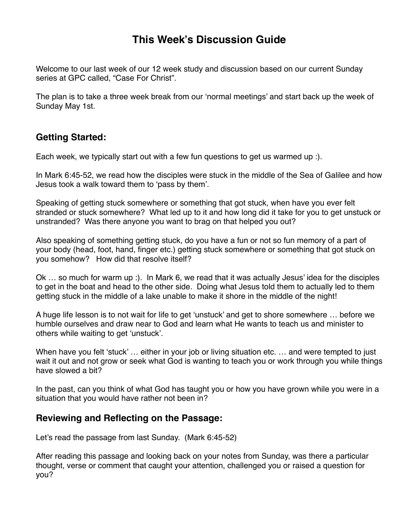### **This Week's Discussion Guide**

Welcome to our last week of our 12 week study and discussion based on our current Sunday series at GPC called, "Case For Christ".

The plan is to take a three week break from our 'normal meetings' and start back up the week of Sunday May 1st.

#### **Getting Started:**

Each week, we typically start out with a few fun questions to get us warmed up :).

In Mark 6:45-52, we read how the disciples were stuck in the middle of the Sea of Galilee and how Jesus took a walk toward them to 'pass by them'.

Speaking of getting stuck somewhere or something that got stuck, when have you ever felt stranded or stuck somewhere? What led up to it and how long did it take for you to get unstuck or unstranded? Was there anyone you want to brag on that helped you out?

Also speaking of something getting stuck, do you have a fun or not so fun memory of a part of your body (head, foot, hand, finger etc.) getting stuck somewhere or something that got stuck on you somehow? How did that resolve itself?

Ok … so much for warm up :). In Mark 6, we read that it was actually Jesus' idea for the disciples to get in the boat and head to the other side. Doing what Jesus told them to actually led to them getting stuck in the middle of a lake unable to make it shore in the middle of the night!

A huge life lesson is to not wait for life to get 'unstuck' and get to shore somewhere … before we humble ourselves and draw near to God and learn what He wants to teach us and minister to others while waiting to get 'unstuck'.

When have you felt 'stuck' ... either in your job or living situation etc. ... and were tempted to just wait it out and not grow or seek what God is wanting to teach you or work through you while things have slowed a bit?

In the past, can you think of what God has taught you or how you have grown while you were in a situation that you would have rather not been in?

#### **Reviewing and Reflecting on the Passage:**

Let's read the passage from last Sunday. (Mark 6:45-52)

After reading this passage and looking back on your notes from Sunday, was there a particular thought, verse or comment that caught your attention, challenged you or raised a question for you?